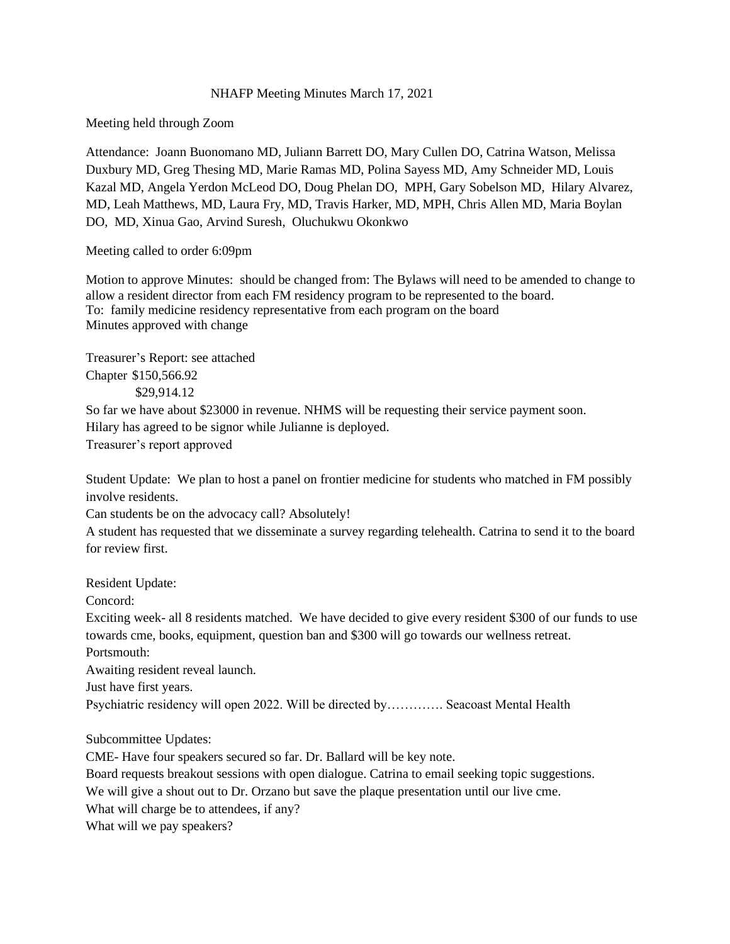## NHAFP Meeting Minutes March 17, 2021

Meeting held through Zoom

Attendance: Joann Buonomano MD, Juliann Barrett DO, Mary Cullen DO, Catrina Watson, Melissa Duxbury MD, Greg Thesing MD, Marie Ramas MD, Polina Sayess MD, Amy Schneider MD, Louis Kazal MD, Angela Yerdon McLeod DO, Doug Phelan DO, MPH, Gary Sobelson MD, Hilary Alvarez, MD, Leah Matthews, MD, Laura Fry, MD, Travis Harker, MD, MPH, Chris Allen MD, Maria Boylan DO, MD, Xinua Gao, Arvind Suresh, Oluchukwu Okonkwo

Meeting called to order 6:09pm

Motion to approve Minutes: should be changed from: The Bylaws will need to be amended to change to allow a resident director from each FM residency program to be represented to the board. To: family medicine residency representative from each program on the board Minutes approved with change

Treasurer's Report: see attached Chapter \$150,566.92 \$29,914.12

So far we have about \$23000 in revenue. NHMS will be requesting their service payment soon. Hilary has agreed to be signor while Julianne is deployed. Treasurer's report approved

Student Update: We plan to host a panel on frontier medicine for students who matched in FM possibly involve residents.

Can students be on the advocacy call? Absolutely!

A student has requested that we disseminate a survey regarding telehealth. Catrina to send it to the board for review first.

Resident Update:

Concord:

Exciting week- all 8 residents matched. We have decided to give every resident \$300 of our funds to use towards cme, books, equipment, question ban and \$300 will go towards our wellness retreat.

Portsmouth:

Awaiting resident reveal launch.

Just have first years.

Psychiatric residency will open 2022. Will be directed by…………. Seacoast Mental Health

Subcommittee Updates:

CME- Have four speakers secured so far. Dr. Ballard will be key note.

Board requests breakout sessions with open dialogue. Catrina to email seeking topic suggestions.

We will give a shout out to Dr. Orzano but save the plaque presentation until our live cme.

What will charge be to attendees, if any?

What will we pay speakers?